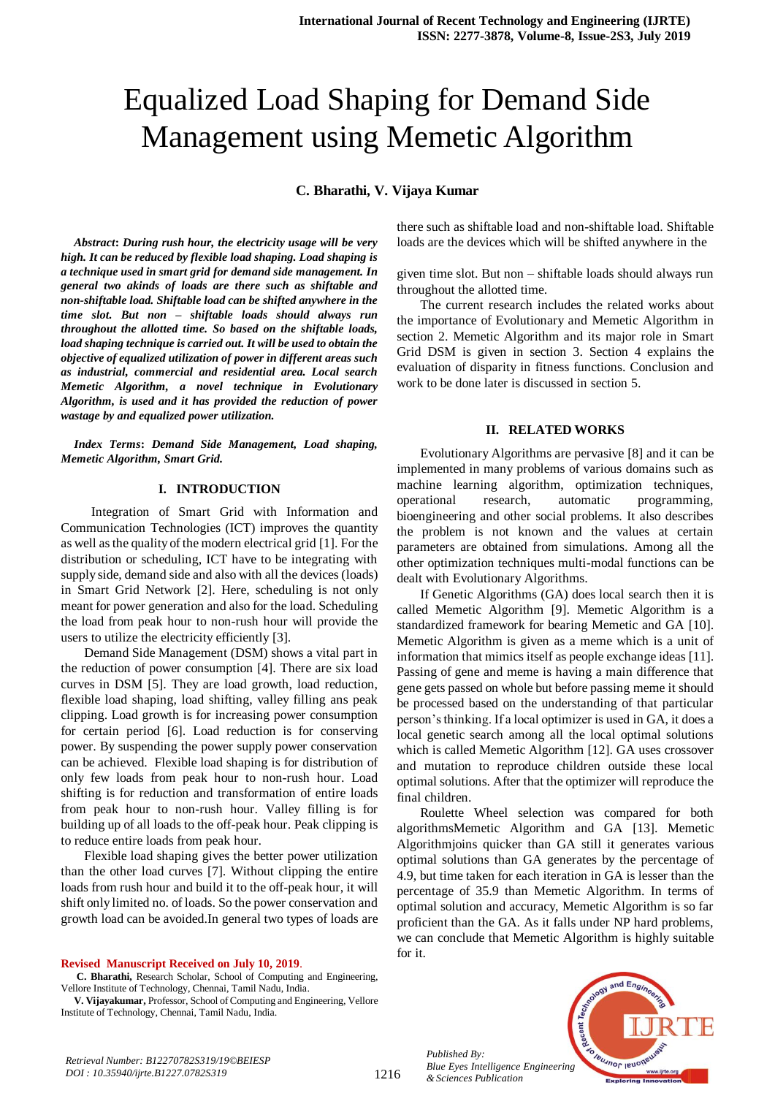# Equalized Load Shaping for Demand Side Management using Memetic Algorithm

**C. Bharathi, V. Vijaya Kumar**

*Abstract***:** *During rush hour, the electricity usage will be very high. It can be reduced by flexible load shaping. Load shaping is a technique used in smart grid for demand side management. In general two akinds of loads are there such as shiftable and non-shiftable load. Shiftable load can be shifted anywhere in the time slot. But non – shiftable loads should always run throughout the allotted time. So based on the shiftable loads, load shaping technique is carried out. It will be used to obtain the objective of equalized utilization of power in different areas such as industrial, commercial and residential area. Local search Memetic Algorithm, a novel technique in Evolutionary Algorithm, is used and it has provided the reduction of power wastage by and equalized power utilization.*

*Index Terms***:** *Demand Side Management, Load shaping, Memetic Algorithm, Smart Grid.* 

### **I. INTRODUCTION**

 Integration of Smart Grid with Information and Communication Technologies (ICT) improves the quantity as well as the quality of the modern electrical grid [1]. For the distribution or scheduling, ICT have to be integrating with supply side, demand side and also with all the devices (loads) in Smart Grid Network [2]. Here, scheduling is not only meant for power generation and also for the load. Scheduling the load from peak hour to non-rush hour will provide the users to utilize the electricity efficiently [3].

Demand Side Management (DSM) shows a vital part in the reduction of power consumption [4]. There are six load curves in DSM [5]. They are load growth, load reduction, flexible load shaping, load shifting, valley filling ans peak clipping. Load growth is for increasing power consumption for certain period [6]. Load reduction is for conserving power. By suspending the power supply power conservation can be achieved. Flexible load shaping is for distribution of only few loads from peak hour to non-rush hour. Load shifting is for reduction and transformation of entire loads from peak hour to non-rush hour. Valley filling is for building up of all loads to the off-peak hour. Peak clipping is to reduce entire loads from peak hour.

Flexible load shaping gives the better power utilization than the other load curves [7]. Without clipping the entire loads from rush hour and build it to the off-peak hour, it will shift only limited no. of loads. So the power conservation and growth load can be avoided.In general two types of loads are

**Revised Manuscript Received on July 10, 2019**.

**C. Bharathi,** Research Scholar, School of Computing and Engineering, Vellore Institute of Technology, Chennai, Tamil Nadu, India.

**V. Vijayakumar,** Professor, School of Computing and Engineering, Vellore Institute of Technology, Chennai, Tamil Nadu, India.

there such as shiftable load and non-shiftable load. Shiftable loads are the devices which will be shifted anywhere in the

given time slot. But non – shiftable loads should always run throughout the allotted time.

The current research includes the related works about the importance of Evolutionary and Memetic Algorithm in section 2. Memetic Algorithm and its major role in Smart Grid DSM is given in section 3. Section 4 explains the evaluation of disparity in fitness functions. Conclusion and work to be done later is discussed in section 5.

#### **II. RELATED WORKS**

Evolutionary Algorithms are pervasive [8] and it can be implemented in many problems of various domains such as machine learning algorithm, optimization techniques, operational research, automatic programming, bioengineering and other social problems. It also describes the problem is not known and the values at certain parameters are obtained from simulations. Among all the other optimization techniques multi-modal functions can be dealt with Evolutionary Algorithms.

If Genetic Algorithms (GA) does local search then it is called Memetic Algorithm [9]. Memetic Algorithm is a standardized framework for bearing Memetic and GA [10]. Memetic Algorithm is given as a meme which is a unit of information that mimics itself as people exchange ideas [11]. Passing of gene and meme is having a main difference that gene gets passed on whole but before passing meme it should be processed based on the understanding of that particular person's thinking. If a local optimizer is used in GA, it does a local genetic search among all the local optimal solutions which is called Memetic Algorithm [12]. GA uses crossover and mutation to reproduce children outside these local optimal solutions. After that the optimizer will reproduce the final children.

Roulette Wheel selection was compared for both algorithmsMemetic Algorithm and GA [13]. Memetic Algorithmjoins quicker than GA still it generates various optimal solutions than GA generates by the percentage of 4.9, but time taken for each iteration in GA is lesser than the percentage of 35.9 than Memetic Algorithm. In terms of optimal solution and accuracy, Memetic Algorithm is so far proficient than the GA. As it falls under NP hard problems, we can conclude that Memetic Algorithm is highly suitable for it.



*Published By:*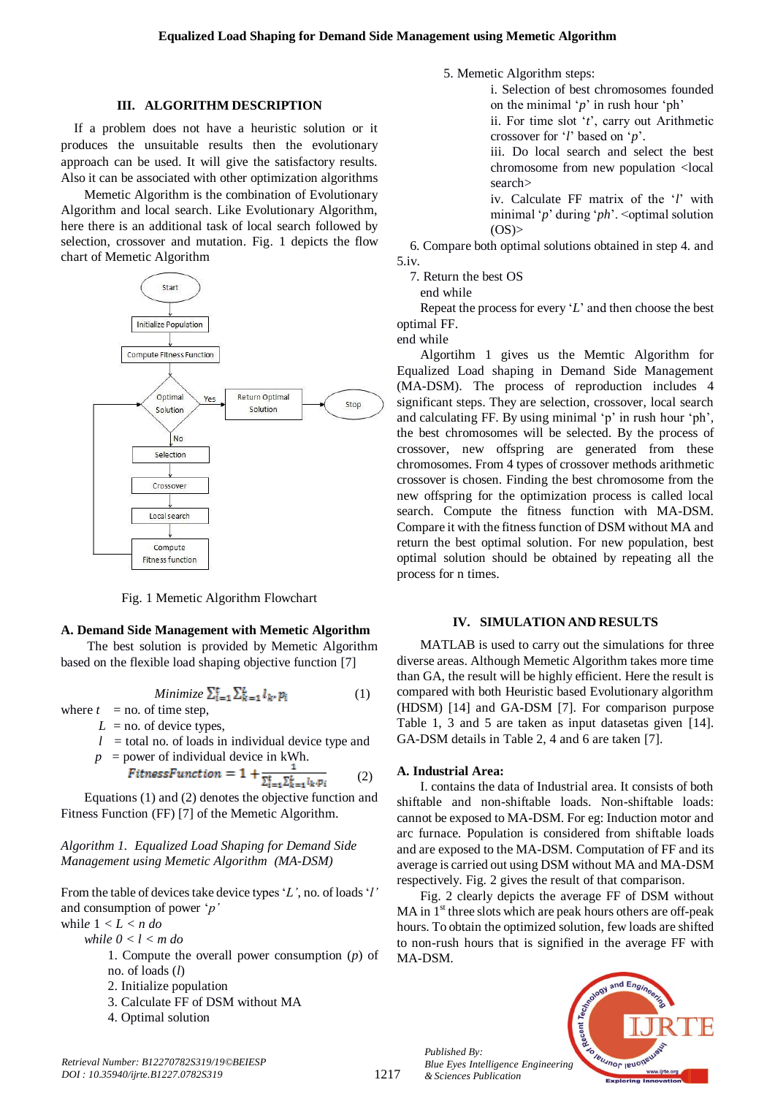5.iv.

5. Memetic Algorithm steps:

search>

 $(OS)$ 

7. Return the best OS end while

i. Selection of best chromosomes founded on the minimal '*p*' in rush hour 'ph' ii. For time slot '*t*', carry out Arithmetic

iii. Do local search and select the best chromosome from new population <local

iv. Calculate FF matrix of the '*l*' with minimal '*p*' during '*ph*'. <optimal solution

crossover for '*l*' based on '*p*'.

6. Compare both optimal solutions obtained in step 4. and

Repeat the process for every '*L*' and then choose the best

## **III. ALGORITHM DESCRIPTION**

If a problem does not have a heuristic solution or it produces the unsuitable results then the evolutionary approach can be used. It will give the satisfactory results. Also it can be associated with other optimization algorithms

Memetic Algorithm is the combination of Evolutionary Algorithm and local search. Like Evolutionary Algorithm, here there is an additional task of local search followed by selection, crossover and mutation. Fig. 1 depicts the flow chart of Memetic Algorithm



Fig. 1 Memetic Algorithm Flowchart

#### **A. Demand Side Management with Memetic Algorithm**

The best solution is provided by Memetic Algorithm based on the flexible load shaping objective function [7]

*Minimize*  $\sum_{i=1}^{t} \sum_{k=1}^{L} l_k \cdot p_i$  (1)

where  $t =$  no. of time step,

- $L =$  no. of device types,
- $l =$  total no. of loads in individual device type and  $p = power$  of individual device in kWh.

$$
FitnessFunction = 1 + \frac{1}{\sum_{i=1}^{t} \sum_{k=1}^{k} l_k, p_i}
$$
 (2)

Equations (1) and (2) denotes the objective function and Fitness Function (FF) [7] of the Memetic Algorithm.

*Algorithm 1. Equalized Load Shaping for Demand Side Management using Memetic Algorithm (MA-DSM)*

From the table of devices take device types '*L'*, no. of loads'*l'*  and consumption of power '*p'*

whil*e* 1 *< L < n do while 0 < l < m do*

- 1. Compute the overall power consumption (*p*) of no. of loads (*l*)
- 2. Initialize population
- 3. Calculate FF of DSM without MA
- 4. Optimal solution

MA-DSM.



optimal FF. end while Algortihm 1 gives us the Memtic Algorithm for Equalized Load shaping in Demand Side Management

(MA-DSM). The process of reproduction includes 4 significant steps. They are selection, crossover, local search and calculating FF. By using minimal 'p' in rush hour 'ph', the best chromosomes will be selected. By the process of crossover, new offspring are generated from these chromosomes. From 4 types of crossover methods arithmetic crossover is chosen. Finding the best chromosome from the new offspring for the optimization process is called local search. Compute the fitness function with MA-DSM. Compare it with the fitness function of DSM without MA and return the best optimal solution. For new population, best optimal solution should be obtained by repeating all the process for n times.

# **IV. SIMULATION AND RESULTS**

MATLAB is used to carry out the simulations for three diverse areas. Although Memetic Algorithm takes more time than GA, the result will be highly efficient. Here the result is compared with both Heuristic based Evolutionary algorithm (HDSM) [14] and GA-DSM [7]. For comparison purpose Table 1, 3 and 5 are taken as input datasetas given [14]. GA-DSM details in Table 2, 4 and 6 are taken [7].

#### **A. Industrial Area:**

I. contains the data of Industrial area. It consists of both shiftable and non-shiftable loads. Non-shiftable loads: cannot be exposed to MA-DSM. For eg: Induction motor and arc furnace. Population is considered from shiftable loads and are exposed to the MA-DSM. Computation of FF and its average is carried out using DSM without MA and MA-DSM respectively. Fig. 2 gives the result of that comparison.

Fig. 2 clearly depicts the average FF of DSM without MA in 1<sup>st</sup> three slots which are peak hours others are off-peak hours. To obtain the optimized solution, few loads are shifted to non-rush hours that is signified in the average FF with

*Published By: Blue Eyes Intelligence Engineering*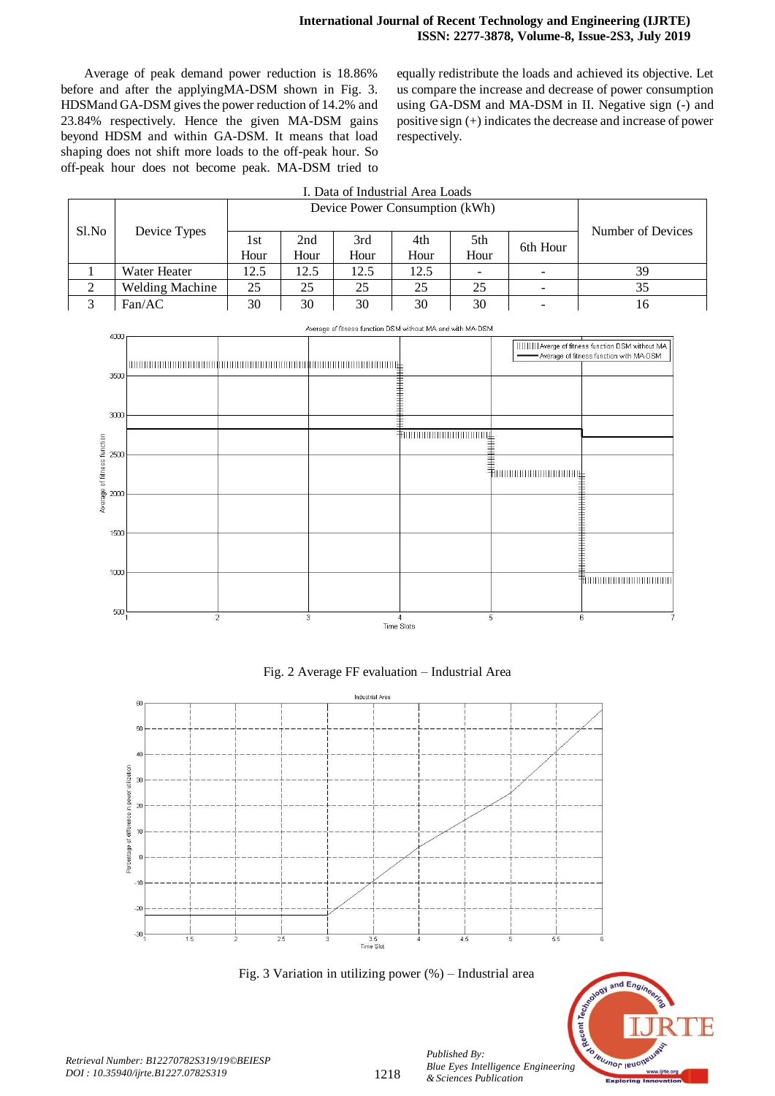Average of peak demand power reduction is 18.86% before and after the applyingMA-DSM shown in Fig. 3. HDSMand GA-DSM gives the power reduction of 14.2% and 23.84% respectively. Hence the given MA-DSM gains beyond HDSM and within GA-DSM. It means that load shaping does not shift more loads to the off-peak hour. So off-peak hour does not become peak. MA-DSM tried to equally redistribute the loads and achieved its objective. Let us compare the increase and decrease of power consumption using GA-DSM and MA-DSM in II. Negative sign (-) and positive sign (+) indicates the decrease and increase of power respectively.

| I. Data of Industrial Area Loads |                        |                                |      |      |      |      |                          |                   |
|----------------------------------|------------------------|--------------------------------|------|------|------|------|--------------------------|-------------------|
|                                  |                        | Device Power Consumption (kWh) |      |      |      |      |                          |                   |
| Sl.No                            | Device Types           |                                |      | 3rd  |      |      |                          | Number of Devices |
|                                  |                        | 1st                            | 2nd  |      | 4th  | 5th  | 6th Hour                 |                   |
|                                  |                        | Hour                           | Hour | Hour | Hour | Hour |                          |                   |
|                                  | Water Heater           | 12.5                           | 12.5 | 12.5 | 12.5 |      |                          | 39                |
| ◠                                | <b>Welding Machine</b> | 25                             | 25   | 25   | 25   | 25   |                          | 35                |
| ◠                                | Fan/AC                 | 30                             | 30   | 30   | 30   | 30   | $\overline{\phantom{0}}$ | 16                |



Fig. 2 Average FF evaluation – Industrial Area



Fig. 3 Variation in utilizing power (%) – Industrial area

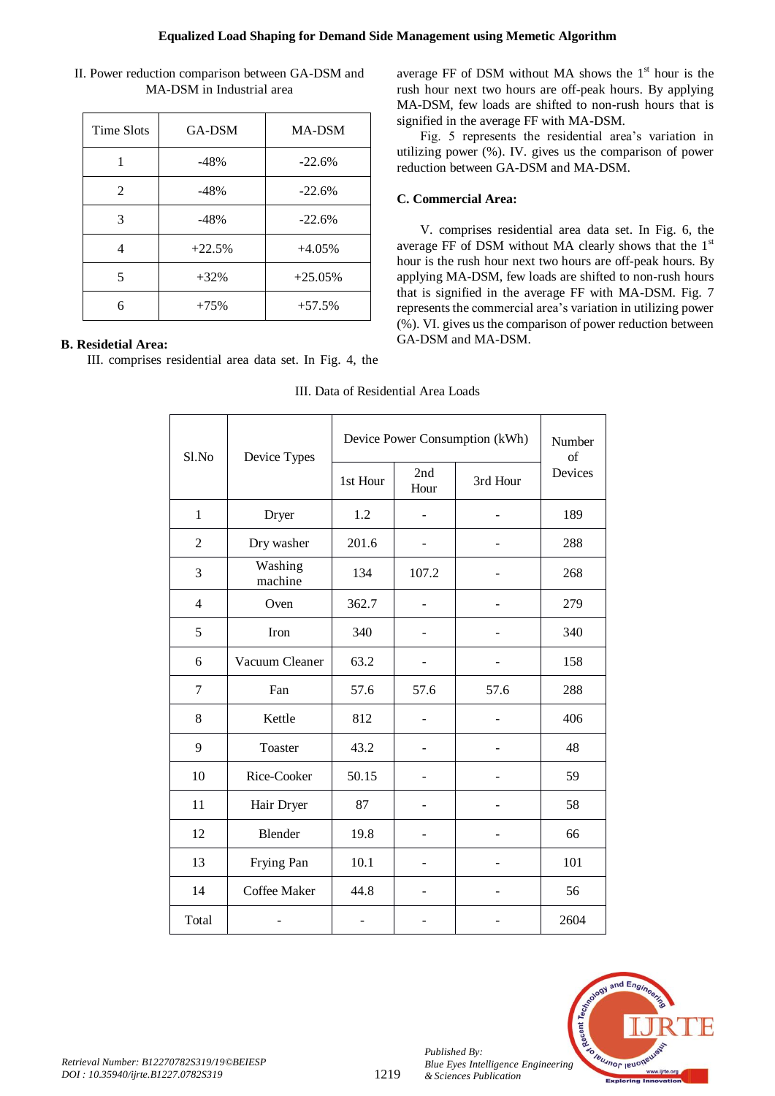| II. Power reduction comparison between GA-DSM and |  |
|---------------------------------------------------|--|
| MA-DSM in Industrial area                         |  |

| <b>Time Slots</b> | GA-DSM   | <b>MA-DSM</b> |
|-------------------|----------|---------------|
|                   | $-48%$   | $-22.6%$      |
| $\mathfrak{D}$    | $-48%$   | $-22.6%$      |
| 3                 | $-48%$   | $-22.6%$      |
| 4                 | $+22.5%$ | $+4.05%$      |
| 5                 | $+32%$   | $+25.05%$     |
| 6                 | $+75%$   | $+57.5%$      |

# **B. Residetial Area:**

III. comprises residential area data set. In Fig. 4, the

average FF of DSM without MA shows the  $1<sup>st</sup>$  hour is the rush hour next two hours are off-peak hours. By applying MA-DSM, few loads are shifted to non-rush hours that is signified in the average FF with MA-DSM.

Fig. 5 represents the residential area's variation in utilizing power (%). IV. gives us the comparison of power reduction between GA-DSM and MA-DSM.

# **C. Commercial Area:**

V. comprises residential area data set. In Fig. 6, the average FF of DSM without MA clearly shows that the 1st hour is the rush hour next two hours are off-peak hours. By applying MA-DSM, few loads are shifted to non-rush hours that is signified in the average FF with MA-DSM. Fig. 7 represents the commercial area's variation in utilizing power (%). VI. gives us the comparison of power reduction between GA-DSM and MA-DSM.

| Sl.No          | Device Types       | Device Power Consumption (kWh) | Number<br>of             |          |         |
|----------------|--------------------|--------------------------------|--------------------------|----------|---------|
|                |                    | 1st Hour                       | 2nd<br>Hour              | 3rd Hour | Devices |
| $\mathbf{1}$   | Dryer              | 1.2                            |                          |          | 189     |
| $\overline{2}$ | Dry washer         | 201.6                          | $\overline{\phantom{0}}$ |          | 288     |
| 3              | Washing<br>machine | 134                            | 107.2                    |          | 268     |
| $\overline{4}$ | Oven               | 362.7                          |                          |          | 279     |
| 5              | Iron               | 340                            |                          |          | 340     |
| 6              | Vacuum Cleaner     | 63.2                           |                          |          | 158     |
| $\overline{7}$ | Fan                | 57.6                           | 57.6                     | 57.6     | 288     |
| $8\,$          | Kettle             | 812                            |                          |          | 406     |
| 9              | Toaster            | 43.2                           | $\overline{\phantom{0}}$ |          | 48      |
| 10             | Rice-Cooker        | 50.15                          |                          |          | 59      |
| 11             | Hair Dryer         | 87                             |                          |          | 58      |
| 12             | Blender            | 19.8                           |                          |          | 66      |
| 13             | Frying Pan         | 10.1                           |                          |          | 101     |
| 14             | Coffee Maker       | 44.8                           |                          |          | 56      |
| Total          |                    |                                |                          |          | 2604    |

III. Data of Residential Area Loads



*Published By:*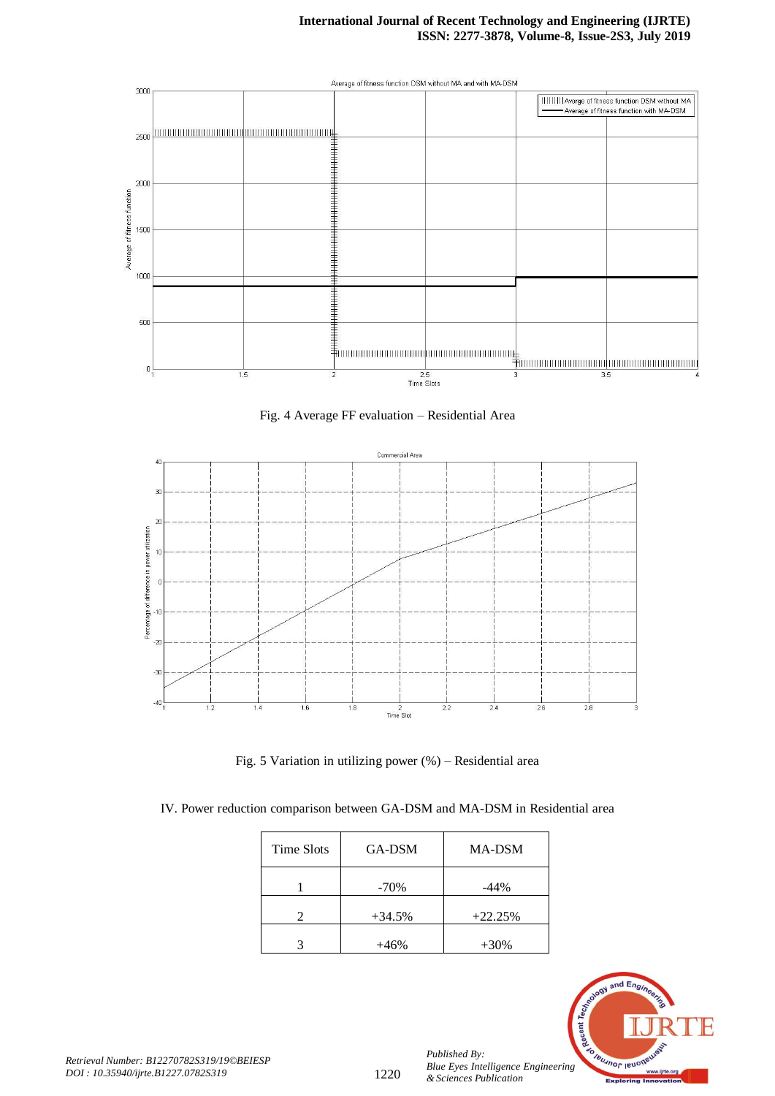# **International Journal of Recent Technology and Engineering (IJRTE) ISSN: 2277-3878, Volume-8, Issue-2S3, July 2019**







Fig. 5 Variation in utilizing power (%) – Residential area

IV. Power reduction comparison between GA-DSM and MA-DSM in Residential area

| Time Slots | GA-DSM   | <b>MA-DSM</b> |
|------------|----------|---------------|
|            | $-70%$   | $-44%$        |
|            | $+34.5%$ | $+22.25%$     |
|            | $+46%$   | $+30%$        |



*Published By:*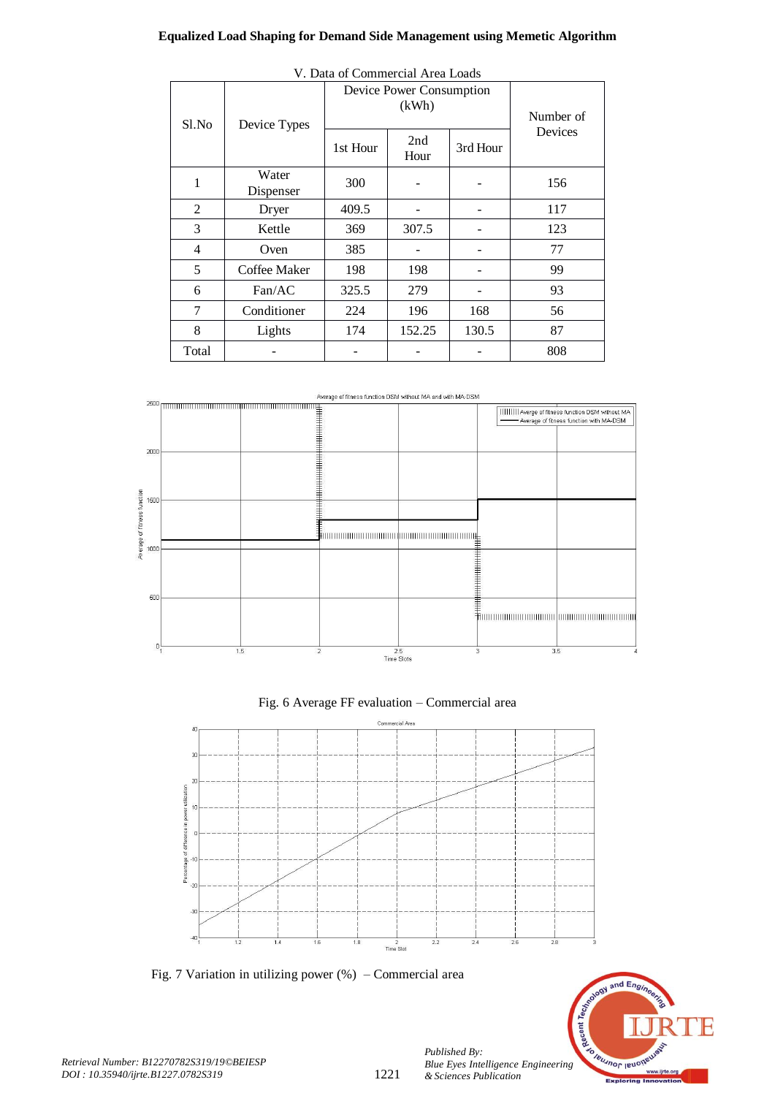# **Equalized Load Shaping for Demand Side Management using Memetic Algorithm**

| Sl.No          | Device Types       | Device Power Consumption | Number of   |          |         |  |
|----------------|--------------------|--------------------------|-------------|----------|---------|--|
|                |                    | 1st Hour                 | 2nd<br>Hour | 3rd Hour | Devices |  |
| 1              | Water<br>Dispenser | 300                      |             |          | 156     |  |
| 2              | Dryer              | 409.5                    |             |          | 117     |  |
| 3              | Kettle             | 369                      | 307.5       |          | 123     |  |
| $\overline{4}$ | Oven               | 385                      |             |          | 77      |  |
| 5              | Coffee Maker       | 198                      | 198         |          | 99      |  |
| 6              | Fan/AC             | 325.5                    | 279         |          | 93      |  |
| 7              | Conditioner        | 224                      | 196         | 168      | 56      |  |
| 8              | Lights             | 174                      | 152.25      | 130.5    | 87      |  |
| Total          |                    |                          |             |          | 808     |  |

V. Data of Commercial Area Loads

Average of fitness function DSM without MA and with MA-DSM







Fig. 7 Variation in utilizing power (%) – Commercial area



*Retrieval Number: B12270782S319/19©BEIESP DOI : 10.35940/ijrte.B1227.0782S319*

*Published By:*